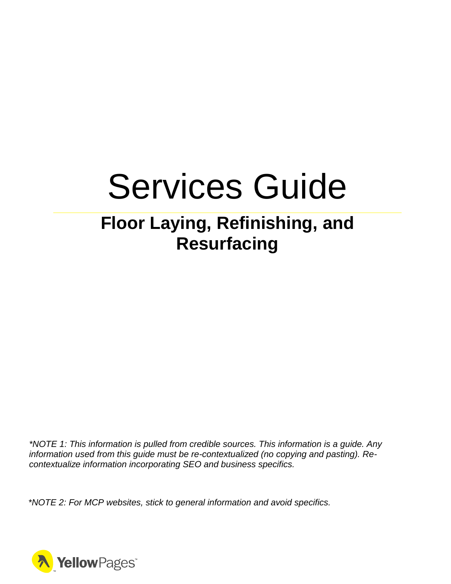# Services Guide

# **Floor Laying, Refinishing, and Resurfacing**

*\*NOTE 1: This information is pulled from credible sources. This information is a guide. Any information used from this guide must be re-contextualized (no copying and pasting). Recontextualize information incorporating SEO and business specifics.*

*\*NOTE 2: For MCP websites, stick to general information and avoid specifics.*

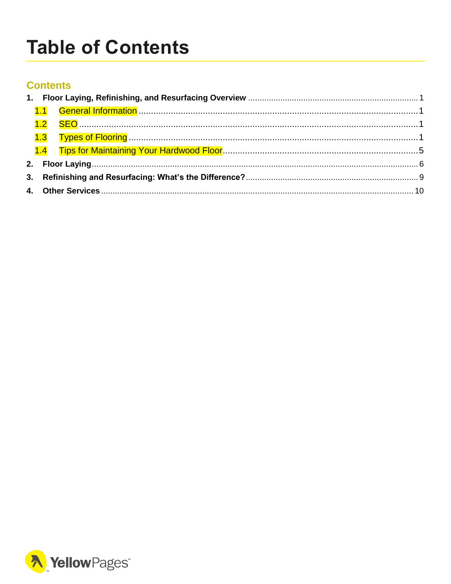# <span id="page-1-0"></span>**Table of Contents**

#### **Contents**

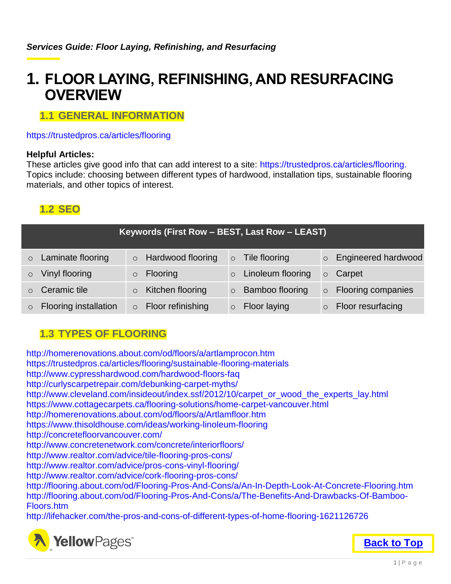### <span id="page-2-0"></span>**1. FLOOR LAYING, REFINISHING, AND RESURFACING OVERVIEW**

#### <span id="page-2-1"></span>**1.1 GENERAL INFORMATION**

#### https://trustedpros.ca/articles/flooring

#### **Helpful Articles:**

These articles give good info that can add interest to a site: https://trustedpros.ca/articles/flooring. Topics include: choosing between different types of hardwood, installation tips, sustainable flooring materials, and other topics of interest.

#### <span id="page-2-2"></span>**1.2 SEO**

|         |                       | Keywords (First Row - BEST, Last Row - LEAST) |         |                        |         |                            |
|---------|-----------------------|-----------------------------------------------|---------|------------------------|---------|----------------------------|
| $\circ$ | Laminate flooring     | $\circ$ Hardwood flooring                     |         | $\circ$ Tile flooring  |         | <b>Engineered hardwood</b> |
|         | Vinyl flooring        | <b>Flooring</b>                               | $\circ$ | Linoleum flooring      | $\circ$ | Carpet                     |
|         | Ceramic tile          | Kitchen flooring                              | $\circ$ | <b>Bamboo flooring</b> |         | <b>Flooring companies</b>  |
|         | Flooring installation | Floor refinishing                             | $\circ$ | Floor laying           |         | Floor resurfacing          |

#### <span id="page-2-3"></span>**1.3 TYPES OF FLOORING**

http://homerenovations.about.com/od/floors/a/artlamprocon.htm https://trustedpros.ca/articles/flooring/sustainable-flooring-materials http://www.cypresshardwood.com/hardwood-floors-faq http://curlyscarpetrepair.com/debunking-carpet-myths/ http://www.cleveland.com/insideout/index.ssf/2012/10/carpet\_or\_wood\_the\_experts\_lay.html https://www.cottagecarpets.ca/flooring-solutions/home-carpet-vancouver.html http://homerenovations.about.com/od/floors/a/Artlamfloor.htm https://www.thisoldhouse.com/ideas/working-linoleum-flooring http://concretefloorvancouver.com/ http://www.concretenetwork.com/concrete/interiorfloors/ http://www.realtor.com/advice/tile-flooring-pros-cons/ http://www.realtor.com/advice/pros-cons-vinyl-flooring/ http://www.realtor.com/advice/cork-flooring-pros-cons/ http://flooring.about.com/od/Flooring-Pros-And-Cons/a/An-In-Depth-Look-At-Concrete-Flooring.htm http://flooring.about.com/od/Flooring-Pros-And-Cons/a/The-Benefits-And-Drawbacks-Of-Bamboo-Floors.htm http://lifehacker.com/the-pros-and-cons-of-different-types-of-home-flooring-1621126726

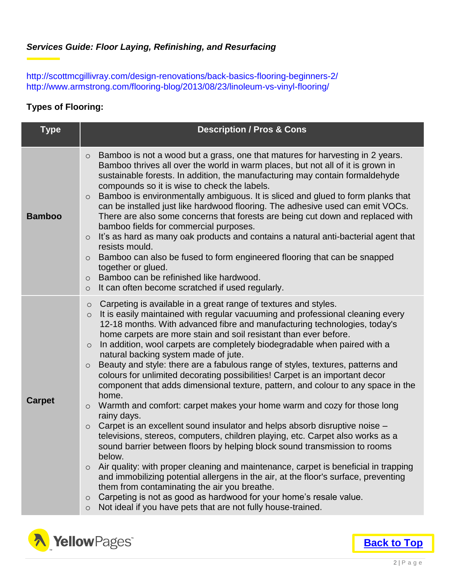http://scottmcgillivray.com/design-renovations/back-basics-flooring-beginners-2/ http://www.armstrong.com/flooring-blog/2013/08/23/linoleum-vs-vinyl-flooring/

#### **Types of Flooring:**

| <b>Type</b>   | <b>Description / Pros &amp; Cons</b>                                                                                                                                                                                                                                                                                                                                                                                                                                                                                                                                                                                                                                                                                                                                                                                                                                                                                                                                                                                                                                                                                                                                                                                                                                                                                                                                                                                                                                                                           |
|---------------|----------------------------------------------------------------------------------------------------------------------------------------------------------------------------------------------------------------------------------------------------------------------------------------------------------------------------------------------------------------------------------------------------------------------------------------------------------------------------------------------------------------------------------------------------------------------------------------------------------------------------------------------------------------------------------------------------------------------------------------------------------------------------------------------------------------------------------------------------------------------------------------------------------------------------------------------------------------------------------------------------------------------------------------------------------------------------------------------------------------------------------------------------------------------------------------------------------------------------------------------------------------------------------------------------------------------------------------------------------------------------------------------------------------------------------------------------------------------------------------------------------------|
| <b>Bamboo</b> | Bamboo is not a wood but a grass, one that matures for harvesting in 2 years.<br>$\circ$<br>Bamboo thrives all over the world in warm places, but not all of it is grown in<br>sustainable forests. In addition, the manufacturing may contain formaldehyde<br>compounds so it is wise to check the labels.<br>Bamboo is environmentally ambiguous. It is sliced and glued to form planks that<br>$\circ$<br>can be installed just like hardwood flooring. The adhesive used can emit VOCs.<br>There are also some concerns that forests are being cut down and replaced with<br>bamboo fields for commercial purposes.<br>It's as hard as many oak products and contains a natural anti-bacterial agent that<br>$\circ$<br>resists mould.<br>Bamboo can also be fused to form engineered flooring that can be snapped<br>$\circ$<br>together or glued.<br>Bamboo can be refinished like hardwood.<br>$\circ$<br>It can often become scratched if used regularly.<br>$\circ$                                                                                                                                                                                                                                                                                                                                                                                                                                                                                                                                   |
| <b>Carpet</b> | Carpeting is available in a great range of textures and styles.<br>$\circ$<br>It is easily maintained with regular vacuuming and professional cleaning every<br>$\circ$<br>12-18 months. With advanced fibre and manufacturing technologies, today's<br>home carpets are more stain and soil resistant than ever before.<br>In addition, wool carpets are completely biodegradable when paired with a<br>$\circ$<br>natural backing system made of jute.<br>Beauty and style: there are a fabulous range of styles, textures, patterns and<br>$\circ$<br>colours for unlimited decorating possibilities! Carpet is an important decor<br>component that adds dimensional texture, pattern, and colour to any space in the<br>home.<br>Warmth and comfort: carpet makes your home warm and cozy for those long<br>$\circ$<br>rainy days.<br>Carpet is an excellent sound insulator and helps absorb disruptive noise -<br>$\circ$<br>televisions, stereos, computers, children playing, etc. Carpet also works as a<br>sound barrier between floors by helping block sound transmission to rooms<br>below.<br>Air quality: with proper cleaning and maintenance, carpet is beneficial in trapping<br>$\circ$<br>and immobilizing potential allergens in the air, at the floor's surface, preventing<br>them from contaminating the air you breathe.<br>Carpeting is not as good as hardwood for your home's resale value.<br>$\circ$<br>Not ideal if you have pets that are not fully house-trained.<br>$\circ$ |

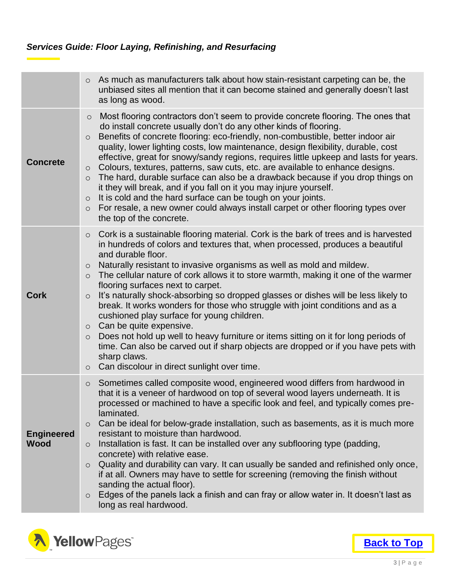|                                  | As much as manufacturers talk about how stain-resistant carpeting can be, the<br>$\circ$<br>unbiased sites all mention that it can become stained and generally doesn't last<br>as long as wood.                                                                                                                                                                                                                                                                                                                                                                                                                                                                                                                                                                                                                                                                                                                                                                        |
|----------------------------------|-------------------------------------------------------------------------------------------------------------------------------------------------------------------------------------------------------------------------------------------------------------------------------------------------------------------------------------------------------------------------------------------------------------------------------------------------------------------------------------------------------------------------------------------------------------------------------------------------------------------------------------------------------------------------------------------------------------------------------------------------------------------------------------------------------------------------------------------------------------------------------------------------------------------------------------------------------------------------|
| <b>Concrete</b>                  | Most flooring contractors don't seem to provide concrete flooring. The ones that<br>$\circ$<br>do install concrete usually don't do any other kinds of flooring.<br>Benefits of concrete flooring: eco-friendly, non-combustible, better indoor air<br>$\circ$<br>quality, lower lighting costs, low maintenance, design flexibility, durable, cost<br>effective, great for snowy/sandy regions, requires little upkeep and lasts for years.<br>Colours, textures, patterns, saw cuts, etc. are available to enhance designs.<br>$\circ$<br>The hard, durable surface can also be a drawback because if you drop things on<br>$\circ$<br>it they will break, and if you fall on it you may injure yourself.<br>It is cold and the hard surface can be tough on your joints.<br>$\circ$<br>For resale, a new owner could always install carpet or other flooring types over<br>$\circ$<br>the top of the concrete.                                                       |
| <b>Cork</b>                      | Cork is a sustainable flooring material. Cork is the bark of trees and is harvested<br>$\circ$<br>in hundreds of colors and textures that, when processed, produces a beautiful<br>and durable floor.<br>Naturally resistant to invasive organisms as well as mold and mildew.<br>$\circ$<br>The cellular nature of cork allows it to store warmth, making it one of the warmer<br>$\circ$<br>flooring surfaces next to carpet.<br>It's naturally shock-absorbing so dropped glasses or dishes will be less likely to<br>$\circ$<br>break. It works wonders for those who struggle with joint conditions and as a<br>cushioned play surface for young children.<br>Can be quite expensive.<br>$\circ$<br>Does not hold up well to heavy furniture or items sitting on it for long periods of<br>$\circ$<br>time. Can also be carved out if sharp objects are dropped or if you have pets with<br>sharp claws.<br>Can discolour in direct sunlight over time.<br>$\circ$ |
| <b>Engineered</b><br><b>Wood</b> | Sometimes called composite wood, engineered wood differs from hardwood in<br>$\circ$<br>that it is a veneer of hardwood on top of several wood layers underneath. It is<br>processed or machined to have a specific look and feel, and typically comes pre-<br>laminated.<br>Can be ideal for below-grade installation, such as basements, as it is much more<br>$\circ$<br>resistant to moisture than hardwood.<br>Installation is fast. It can be installed over any subflooring type (padding,<br>$\circ$<br>concrete) with relative ease.<br>Quality and durability can vary. It can usually be sanded and refinished only once,<br>$\circ$<br>if at all. Owners may have to settle for screening (removing the finish without<br>sanding the actual floor).<br>Edges of the panels lack a finish and can fray or allow water in. It doesn't last as<br>$\circ$<br>long as real hardwood.                                                                           |

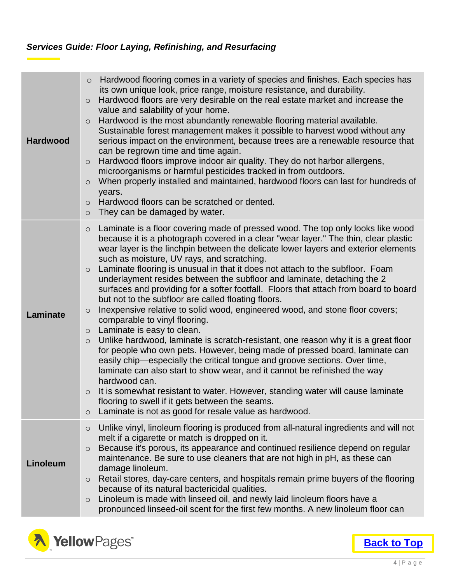| <b>Hardwood</b> | Hardwood flooring comes in a variety of species and finishes. Each species has<br>$\circ$<br>its own unique look, price range, moisture resistance, and durability.<br>Hardwood floors are very desirable on the real estate market and increase the<br>$\circ$<br>value and salability of your home.<br>Hardwood is the most abundantly renewable flooring material available.<br>$\circ$<br>Sustainable forest management makes it possible to harvest wood without any<br>serious impact on the environment, because trees are a renewable resource that<br>can be regrown time and time again.<br>Hardwood floors improve indoor air quality. They do not harbor allergens,<br>$\circ$<br>microorganisms or harmful pesticides tracked in from outdoors.<br>When properly installed and maintained, hardwood floors can last for hundreds of<br>$\circ$<br>years.<br>Hardwood floors can be scratched or dented.<br>$\circ$<br>They can be damaged by water.<br>$\circ$                                                                                                                                                                                                                                                                                                                                                                                                                      |
|-----------------|--------------------------------------------------------------------------------------------------------------------------------------------------------------------------------------------------------------------------------------------------------------------------------------------------------------------------------------------------------------------------------------------------------------------------------------------------------------------------------------------------------------------------------------------------------------------------------------------------------------------------------------------------------------------------------------------------------------------------------------------------------------------------------------------------------------------------------------------------------------------------------------------------------------------------------------------------------------------------------------------------------------------------------------------------------------------------------------------------------------------------------------------------------------------------------------------------------------------------------------------------------------------------------------------------------------------------------------------------------------------------------------------------|
| Laminate        | Laminate is a floor covering made of pressed wood. The top only looks like wood<br>$\circ$<br>because it is a photograph covered in a clear "wear layer." The thin, clear plastic<br>wear layer is the linchpin between the delicate lower layers and exterior elements<br>such as moisture, UV rays, and scratching.<br>Laminate flooring is unusual in that it does not attach to the subfloor. Foam<br>$\circ$<br>underlayment resides between the subfloor and laminate, detaching the 2<br>surfaces and providing for a softer footfall. Floors that attach from board to board<br>but not to the subfloor are called floating floors.<br>Inexpensive relative to solid wood, engineered wood, and stone floor covers;<br>$\circ$<br>comparable to vinyl flooring.<br>Laminate is easy to clean.<br>$\circ$<br>Unlike hardwood, laminate is scratch-resistant, one reason why it is a great floor<br>$\circ$<br>for people who own pets. However, being made of pressed board, laminate can<br>easily chip—especially the critical tongue and groove sections. Over time,<br>laminate can also start to show wear, and it cannot be refinished the way<br>hardwood can.<br>It is somewhat resistant to water. However, standing water will cause laminate<br>$\circ$<br>flooring to swell if it gets between the seams.<br>Laminate is not as good for resale value as hardwood.<br>$\circ$ |
| Linoleum        | Unlike vinyl, linoleum flooring is produced from all-natural ingredients and will not<br>$\circ$<br>melt if a cigarette or match is dropped on it.<br>Because it's porous, its appearance and continued resilience depend on regular<br>$\circ$<br>maintenance. Be sure to use cleaners that are not high in pH, as these can<br>damage linoleum.<br>Retail stores, day-care centers, and hospitals remain prime buyers of the flooring<br>$\circ$<br>because of its natural bactericidal qualities.<br>Linoleum is made with linseed oil, and newly laid linoleum floors have a<br>$\circ$<br>pronounced linseed-oil scent for the first few months. A new linoleum floor can                                                                                                                                                                                                                                                                                                                                                                                                                                                                                                                                                                                                                                                                                                                   |

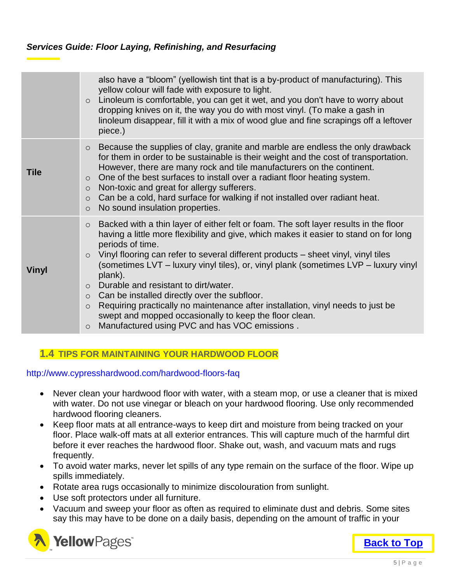|              | also have a "bloom" (yellowish tint that is a by-product of manufacturing). This<br>yellow colour will fade with exposure to light.<br>Linoleum is comfortable, you can get it wet, and you don't have to worry about<br>$\circ$<br>dropping knives on it, the way you do with most vinyl. (To make a gash in<br>linoleum disappear, fill it with a mix of wood glue and fine scrapings off a leftover<br>piece.)                                                                                                                                                                                                                                                                                                                                |
|--------------|--------------------------------------------------------------------------------------------------------------------------------------------------------------------------------------------------------------------------------------------------------------------------------------------------------------------------------------------------------------------------------------------------------------------------------------------------------------------------------------------------------------------------------------------------------------------------------------------------------------------------------------------------------------------------------------------------------------------------------------------------|
| <b>Tile</b>  | Because the supplies of clay, granite and marble are endless the only drawback<br>$\circ$<br>for them in order to be sustainable is their weight and the cost of transportation.<br>However, there are many rock and tile manufacturers on the continent.<br>One of the best surfaces to install over a radiant floor heating system.<br>$\circ$<br>Non-toxic and great for allergy sufferers.<br>$\circ$<br>Can be a cold, hard surface for walking if not installed over radiant heat.<br>$\circ$<br>No sound insulation properties.<br>$\circ$                                                                                                                                                                                                |
| <b>Vinyl</b> | Backed with a thin layer of either felt or foam. The soft layer results in the floor<br>$\circ$<br>having a little more flexibility and give, which makes it easier to stand on for long<br>periods of time.<br>Vinyl flooring can refer to several different products – sheet vinyl, vinyl tiles<br>$\circ$<br>(sometimes LVT – luxury vinyl tiles), or, vinyl plank (sometimes LVP – luxury vinyl<br>plank).<br>Durable and resistant to dirt/water.<br>$\circ$<br>Can be installed directly over the subfloor.<br>$\circ$<br>Requiring practically no maintenance after installation, vinyl needs to just be<br>$\circ$<br>swept and mopped occasionally to keep the floor clean.<br>Manufactured using PVC and has VOC emissions.<br>$\circ$ |

#### <span id="page-6-0"></span>**1.4 TIPS FOR MAINTAINING YOUR HARDWOOD FLOOR**

http://www.cypresshardwood.com/hardwood-floors-faq

- Never clean your hardwood floor with water, with a steam mop, or use a cleaner that is mixed with water. Do not use vinegar or bleach on your hardwood flooring. Use only recommended hardwood flooring cleaners.
- Keep floor mats at all entrance-ways to keep dirt and moisture from being tracked on your floor. Place walk-off mats at all exterior entrances. This will capture much of the harmful dirt before it ever reaches the hardwood floor. Shake out, wash, and vacuum mats and rugs frequently.
- To avoid water marks, never let spills of any type remain on the surface of the floor. Wipe up spills immediately.
- Rotate area rugs occasionally to minimize discolouration from sunlight.
- Use soft protectors under all furniture.
- Vacuum and sweep your floor as often as required to eliminate dust and debris. Some sites say this may have to be done on a daily basis, depending on the amount of traffic in your

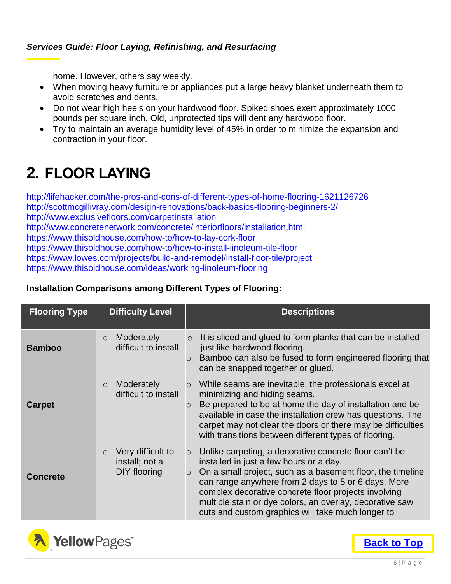home. However, others say weekly.

- When moving heavy furniture or appliances put a large heavy blanket underneath them to avoid scratches and dents.
- Do not wear high heels on your hardwood floor. Spiked shoes exert approximately 1000 pounds per square inch. Old, unprotected tips will dent any hardwood floor.
- Try to maintain an average humidity level of 45% in order to minimize the expansion and contraction in your floor.

# <span id="page-7-0"></span>**2. FLOOR LAYING**

http://lifehacker.com/the-pros-and-cons-of-different-types-of-home-flooring-1621126726 http://scottmcgillivray.com/design-renovations/back-basics-flooring-beginners-2/ http://www.exclusivefloors.com/carpetinstallation http://www.concretenetwork.com/concrete/interiorfloors/installation.html https://www.thisoldhouse.com/how-to/how-to-lay-cork-floor https://www.thisoldhouse.com/how-to/how-to-install-linoleum-tile-floor https://www.lowes.com/projects/build-and-remodel/install-floor-tile/project https://www.thisoldhouse.com/ideas/working-linoleum-flooring

#### **Installation Comparisons among Different Types of Flooring:**

| <b>Flooring Type</b> | <b>Difficulty Level</b>                                        | <b>Descriptions</b>                                                                                                                                                                                                                                                                                                                                                                                                   |
|----------------------|----------------------------------------------------------------|-----------------------------------------------------------------------------------------------------------------------------------------------------------------------------------------------------------------------------------------------------------------------------------------------------------------------------------------------------------------------------------------------------------------------|
| <b>Bamboo</b>        | Moderately<br>$\circ$<br>difficult to install                  | It is sliced and glued to form planks that can be installed<br>$\circ$<br>just like hardwood flooring.<br>Bamboo can also be fused to form engineered flooring that<br>$\circ$<br>can be snapped together or glued.                                                                                                                                                                                                   |
| <b>Carpet</b>        | Moderately<br>$\circ$<br>difficult to install                  | While seams are inevitable, the professionals excel at<br>$\circ$<br>minimizing and hiding seams.<br>Be prepared to be at home the day of installation and be<br>$\circ$<br>available in case the installation crew has questions. The<br>carpet may not clear the doors or there may be difficulties<br>with transitions between different types of flooring.                                                        |
| <b>Concrete</b>      | Very difficult to<br>$\circ$<br>install; not a<br>DIY flooring | Unlike carpeting, a decorative concrete floor can't be<br>$\circ$<br>installed in just a few hours or a day.<br>On a small project, such as a basement floor, the timeline<br>$\circ$<br>can range anywhere from 2 days to 5 or 6 days. More<br>complex decorative concrete floor projects involving<br>multiple stain or dye colors, an overlay, decorative saw<br>cuts and custom graphics will take much longer to |

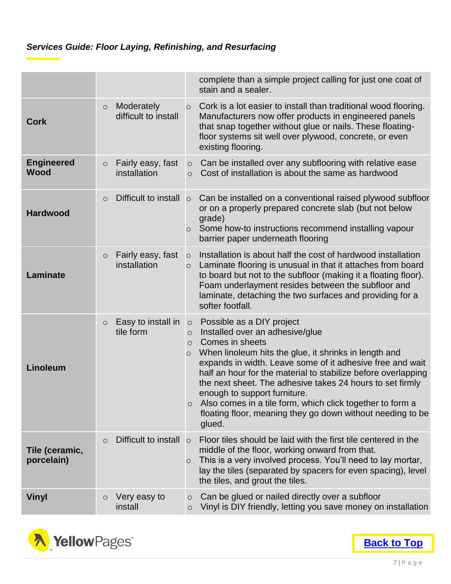|                                  |                                               | complete than a simple project calling for just one coat of<br>stain and a sealer.                                                                                                                                                                                                                                                                                                                                                                                                                                                                   |
|----------------------------------|-----------------------------------------------|------------------------------------------------------------------------------------------------------------------------------------------------------------------------------------------------------------------------------------------------------------------------------------------------------------------------------------------------------------------------------------------------------------------------------------------------------------------------------------------------------------------------------------------------------|
| <b>Cork</b>                      | Moderately<br>$\circ$<br>difficult to install | Cork is a lot easier to install than traditional wood flooring.<br>$\circ$<br>Manufacturers now offer products in engineered panels<br>that snap together without glue or nails. These floating-<br>floor systems sit well over plywood, concrete, or even<br>existing flooring.                                                                                                                                                                                                                                                                     |
| <b>Engineered</b><br><b>Wood</b> | Fairly easy, fast<br>$\circ$<br>installation  | Can be installed over any subflooring with relative ease<br>$\circ$<br>Cost of installation is about the same as hardwood<br>$\bigcirc$                                                                                                                                                                                                                                                                                                                                                                                                              |
| <b>Hardwood</b>                  | Difficult to install<br>$\circ$               | Can be installed on a conventional raised plywood subfloor<br>$\circ$<br>or on a properly prepared concrete slab (but not below<br>grade)<br>Some how-to instructions recommend installing vapour<br>$\circ$<br>barrier paper underneath flooring                                                                                                                                                                                                                                                                                                    |
| <b>Laminate</b>                  | Fairly easy, fast<br>$\circ$<br>installation  | Installation is about half the cost of hardwood installation<br>$\circ$<br>Laminate flooring is unusual in that it attaches from board<br>$\circ$<br>to board but not to the subfloor (making it a floating floor).<br>Foam underlayment resides between the subfloor and<br>laminate, detaching the two surfaces and providing for a<br>softer footfall.                                                                                                                                                                                            |
| Linoleum                         | Easy to install in<br>$\circ$<br>tile form    | Possible as a DIY project<br>$\circ$<br>Installed over an adhesive/glue<br>$\circ$<br>Comes in sheets<br>$\circ$<br>When linoleum hits the glue, it shrinks in length and<br>$\circ$<br>expands in width. Leave some of it adhesive free and wait<br>half an hour for the material to stabilize before overlapping<br>the next sheet. The adhesive takes 24 hours to set firmly<br>enough to support furniture.<br>Also comes in a tile form, which click together to form a<br>floating floor, meaning they go down without needing to be<br>glued. |
| Tile (ceramic,<br>porcelain)     | Difficult to install<br>$\circ$               | Floor tiles should be laid with the first tile centered in the<br>$\circ$<br>middle of the floor, working onward from that.<br>This is a very involved process. You'll need to lay mortar,<br>O<br>lay the tiles (separated by spacers for even spacing), level<br>the tiles, and grout the tiles.                                                                                                                                                                                                                                                   |
| <b>Vinyl</b>                     | Very easy to<br>$\circ$<br>install            | Can be glued or nailed directly over a subfloor<br>$\circ$<br>Vinyl is DIY friendly, letting you save money on installation<br>$\circ$                                                                                                                                                                                                                                                                                                                                                                                                               |

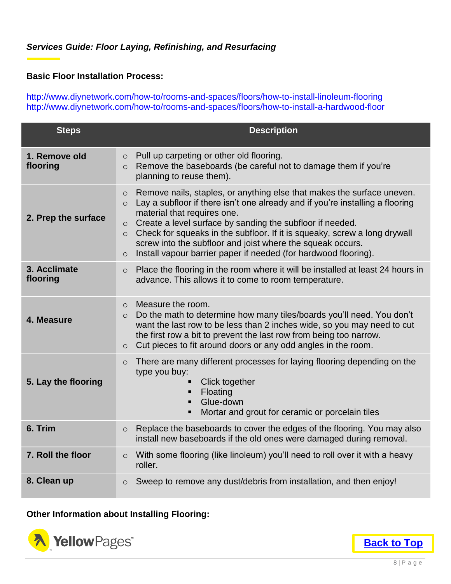#### **Basic Floor Installation Process:**

http://www.diynetwork.com/how-to/rooms-and-spaces/floors/how-to-install-linoleum-flooring http://www.diynetwork.com/how-to/rooms-and-spaces/floors/how-to-install-a-hardwood-floor

| <b>Steps</b>              | <b>Description</b>                                                                                                                                                                                                                                                                                                                                                                                                                                                                                                       |
|---------------------------|--------------------------------------------------------------------------------------------------------------------------------------------------------------------------------------------------------------------------------------------------------------------------------------------------------------------------------------------------------------------------------------------------------------------------------------------------------------------------------------------------------------------------|
| 1. Remove old<br>flooring | Pull up carpeting or other old flooring.<br>$\circ$<br>Remove the baseboards (be careful not to damage them if you're<br>$\circ$<br>planning to reuse them).                                                                                                                                                                                                                                                                                                                                                             |
| 2. Prep the surface       | Remove nails, staples, or anything else that makes the surface uneven.<br>$\circ$<br>Lay a subfloor if there isn't one already and if you're installing a flooring<br>$\circ$<br>material that requires one.<br>Create a level surface by sanding the subfloor if needed.<br>$\circ$<br>Check for squeaks in the subfloor. If it is squeaky, screw a long drywall<br>$\circ$<br>screw into the subfloor and joist where the squeak occurs.<br>Install vapour barrier paper if needed (for hardwood flooring).<br>$\circ$ |
| 3. Acclimate<br>flooring  | Place the flooring in the room where it will be installed at least 24 hours in<br>$\circ$<br>advance. This allows it to come to room temperature.                                                                                                                                                                                                                                                                                                                                                                        |
| 4. Measure                | Measure the room.<br>$\circ$<br>Do the math to determine how many tiles/boards you'll need. You don't<br>$\circ$<br>want the last row to be less than 2 inches wide, so you may need to cut<br>the first row a bit to prevent the last row from being too narrow.<br>Cut pieces to fit around doors or any odd angles in the room.<br>$\circ$                                                                                                                                                                            |
| 5. Lay the flooring       | There are many different processes for laying flooring depending on the<br>$\circ$<br>type you buy:<br>Click together<br>Floating<br>Glue-down<br>Mortar and grout for ceramic or porcelain tiles                                                                                                                                                                                                                                                                                                                        |
| 6. Trim                   | Replace the baseboards to cover the edges of the flooring. You may also<br>$\circ$<br>install new baseboards if the old ones were damaged during removal.                                                                                                                                                                                                                                                                                                                                                                |
| 7. Roll the floor         | With some flooring (like linoleum) you'll need to roll over it with a heavy<br>$\circ$<br>roller.                                                                                                                                                                                                                                                                                                                                                                                                                        |
| 8. Clean up               | Sweep to remove any dust/debris from installation, and then enjoy!<br>$\circ$                                                                                                                                                                                                                                                                                                                                                                                                                                            |

#### **Other Information about Installing Flooring:**

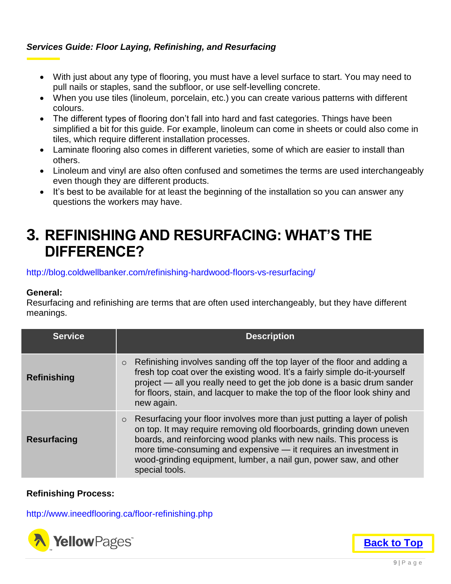- With just about any type of flooring, you must have a level surface to start. You may need to pull nails or staples, sand the subfloor, or use self-levelling concrete.
- When you use tiles (linoleum, porcelain, etc.) you can create various patterns with different colours.
- The different types of flooring don't fall into hard and fast categories. Things have been simplified a bit for this guide. For example, linoleum can come in sheets or could also come in tiles, which require different installation processes.
- Laminate flooring also comes in different varieties, some of which are easier to install than others.
- Linoleum and vinyl are also often confused and sometimes the terms are used interchangeably even though they are different products.
- It's best to be available for at least the beginning of the installation so you can answer any questions the workers may have.

### <span id="page-10-0"></span>**3. REFINISHING AND RESURFACING: WHAT'S THE DIFFERENCE?**

http://blog.coldwellbanker.com/refinishing-hardwood-floors-vs-resurfacing/

#### **General:**

Resurfacing and refinishing are terms that are often used interchangeably, but they have different meanings.

| <b>Service</b>     | <b>Description</b>                                                                                                                                                                                                                                                                                                                                                                             |
|--------------------|------------------------------------------------------------------------------------------------------------------------------------------------------------------------------------------------------------------------------------------------------------------------------------------------------------------------------------------------------------------------------------------------|
| <b>Refinishing</b> | Refinishing involves sanding off the top layer of the floor and adding a<br>$\circ$<br>fresh top coat over the existing wood. It's a fairly simple do-it-yourself<br>project - all you really need to get the job done is a basic drum sander<br>for floors, stain, and lacquer to make the top of the floor look shiny and<br>new again.                                                      |
| <b>Resurfacing</b> | Resurfacing your floor involves more than just putting a layer of polish<br>$\circ$<br>on top. It may require removing old floorboards, grinding down uneven<br>boards, and reinforcing wood planks with new nails. This process is<br>more time-consuming and expensive - it requires an investment in<br>wood-grinding equipment, lumber, a nail gun, power saw, and other<br>special tools. |

#### **Refinishing Process:**

http://www.ineedflooring.ca/floor-refinishing.php



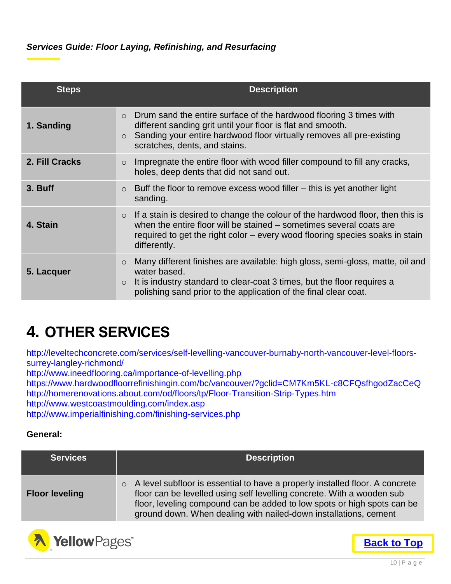| <b>Steps</b>   | <b>Description</b>                                                                                                                                                                                                                                                 |
|----------------|--------------------------------------------------------------------------------------------------------------------------------------------------------------------------------------------------------------------------------------------------------------------|
| 1. Sanding     | Drum sand the entire surface of the hardwood flooring 3 times with<br>$\circ$<br>different sanding grit until your floor is flat and smooth.<br>Sanding your entire hardwood floor virtually removes all pre-existing<br>$\circ$<br>scratches, dents, and stains.  |
| 2. Fill Cracks | Impregnate the entire floor with wood filler compound to fill any cracks,<br>$\circ$<br>holes, deep dents that did not sand out.                                                                                                                                   |
| 3. Buff        | Buff the floor to remove excess wood filler – this is yet another light<br>$\circ$<br>sanding.                                                                                                                                                                     |
| 4. Stain       | If a stain is desired to change the colour of the hardwood floor, then this is<br>$\circ$<br>when the entire floor will be stained – sometimes several coats are<br>required to get the right color – every wood flooring species soaks in stain<br>differently.   |
| 5. Lacquer     | Many different finishes are available: high gloss, semi-gloss, matte, oil and<br>$\circ$<br>water based.<br>It is industry standard to clear-coat 3 times, but the floor requires a<br>$\circ$<br>polishing sand prior to the application of the final clear coat. |

# <span id="page-11-0"></span>**4. OTHER SERVICES**

http://leveltechconcrete.com/services/self-levelling-vancouver-burnaby-north-vancouver-level-floorssurrey-langley-richmond/

http://www.ineedflooring.ca/importance-of-levelling.php

https://www.hardwoodfloorrefinishingin.com/bc/vancouver/?gclid=CM7Km5KL-c8CFQsfhgodZacCeQ http://homerenovations.about.com/od/floors/tp/Floor-Transition-Strip-Types.htm

http://www.westcoastmoulding.com/index.asp

http://www.imperialfinishing.com/finishing-services.php

#### **General:**

| <b>Services</b>       | <b>Description</b>                                                                                                                                                                                                                                                                                      |
|-----------------------|---------------------------------------------------------------------------------------------------------------------------------------------------------------------------------------------------------------------------------------------------------------------------------------------------------|
| <b>Floor leveling</b> | ○ A level subfloor is essential to have a properly installed floor. A concrete<br>floor can be levelled using self levelling concrete. With a wooden sub<br>floor, leveling compound can be added to low spots or high spots can be<br>ground down. When dealing with nailed-down installations, cement |